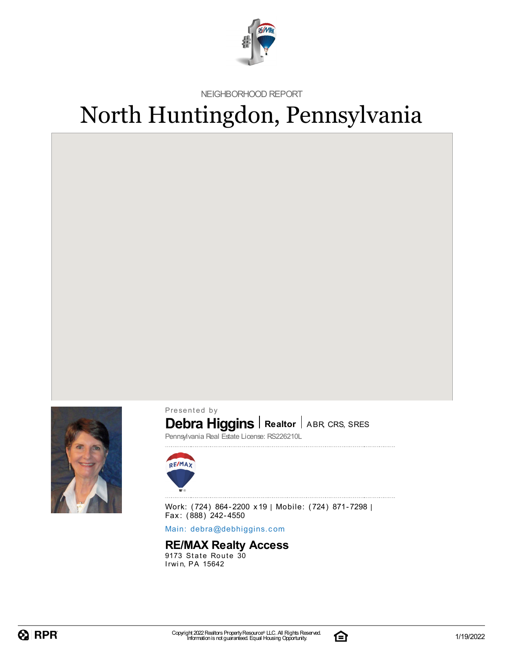

NEIGHBORHOOD REPORT

# North Huntingdon, Pennsylvania



Presented by

### **Debra Higgins** | Realtor | ABR, CRS, SRES

Pennsylvania Real Estate License: RS226210L



Work: (724) 864-2200 x19 | Mobile: (724) 871-7298 | Fax: (888) 242-4550

Main: debra[@](mailto:debra@debhiggins.com)debhiggins.com

### **RE/MAX Realty Access**

 $9173$  State Route  $30$ Irwin, PA 15642

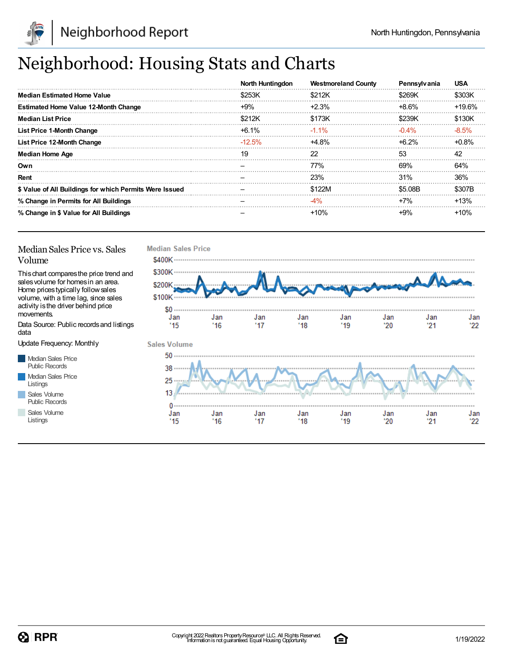

## Neighborhood: Housing Stats and Charts

|                                                         | North Huntingdon | <b>Westmoreland County</b> | Pennsylvania | <b>USA</b> |
|---------------------------------------------------------|------------------|----------------------------|--------------|------------|
| <b>Median Estimated Home Value</b>                      | \$253K           | \$212K                     | \$269K       | \$303K     |
| <b>Estimated Home Value 12-Month Change</b>             | $+9%$            | $+2.3%$                    | +8.6%        | $+19.6%$   |
| <b>Median List Price</b>                                | \$212K           | \$173K                     | \$239K       | \$130K     |
| <b>List Price 1-Month Change</b>                        | +6.1%            | $-1.1\%$                   | $-0.4\%$     | $-8.5\%$   |
| List Price 12-Month Change                              | $-12.5\%$        | +4.8%                      | $+6.2%$      | $+0.8%$    |
| <b>Median Home Age</b>                                  | 19               | 22                         | 53           | 42         |
| Own                                                     |                  | 77%                        | 69%          | 64%        |
| Rent                                                    |                  | 23%                        | 31%          | 36%        |
| \$ Value of All Buildings for which Permits Were Issued |                  | \$122M                     | \$5.08B      | \$307B     |
| % Change in Permits for All Buildings                   |                  | -4%                        | $+7%$        | $+13%$     |
| % Change in \$ Value for All Buildings                  |                  | $+10%$                     | $+9%$        | $+10%$     |

#### Median Sales Price vs. Sales Volume

Thischart comparesthe price trend and salesvolume for homesin an area. Home pricestypically followsales volume, with a time lag, since sales activity is the driver behind price movements.

Data Source: Public recordsand listings data

Update Frequency: Monthly

Median Sales Price Public Records Median Sales Price Listings Sales Volume Public Records

Sales Volume

Listings



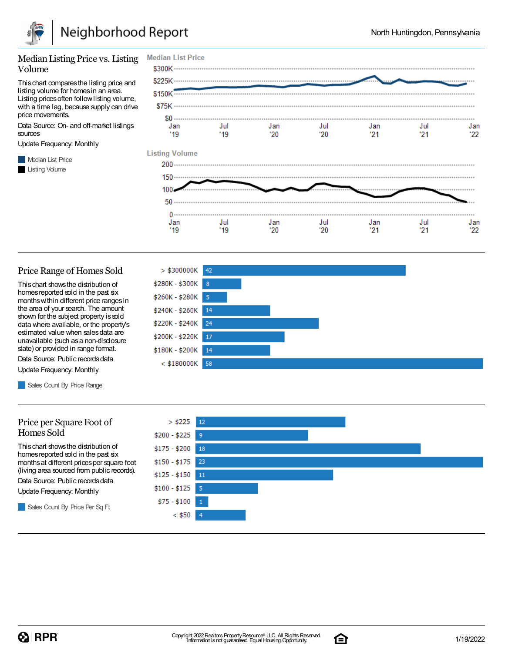

#### Median Listing Price vs. Listing Volume

Thischart comparesthe listing price and listing volume for homesin an area. Listing prices often follow listing volume, with a time lag, because supply can drive price movements.

Data Source: On- and off-market listings sources

Update Frequency: Monthly

**Median List Price** Listing Volume



#### Price Range of Homes Sold

Thischart showsthe distribution of homes reported sold in the past six monthswithin different price rangesin the area of your search. The amount shown for the subject property issold data where available, or the property's estimated value when salesdata are unavailable (such asa non-disclosure state) or provided in range format.

Data Source: Public records data Update Frequency: Monthly

Sales Count By Price Range

#### Price per Square Foot of Homes Sold

Thischart showsthe distribution of homes reported sold in the past six monthsat different pricesper square foot (living area sourced from public records).

Data Source: Public records data

Update Frequency: Monthly

Sales Count By Price Per Sq Ft





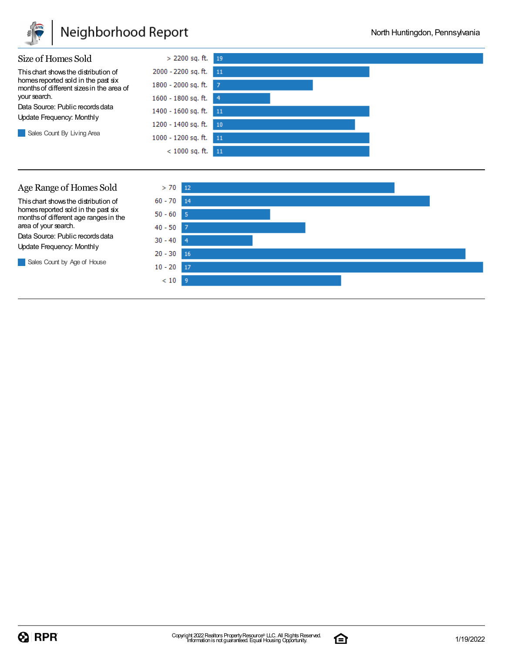

### Neighborhood Report

 $20 - 30$ 

 $10 - 20$  17  $<10\,$  $-9$ 

**16** 



Sales Count by Age of House

 $Q$  RPR

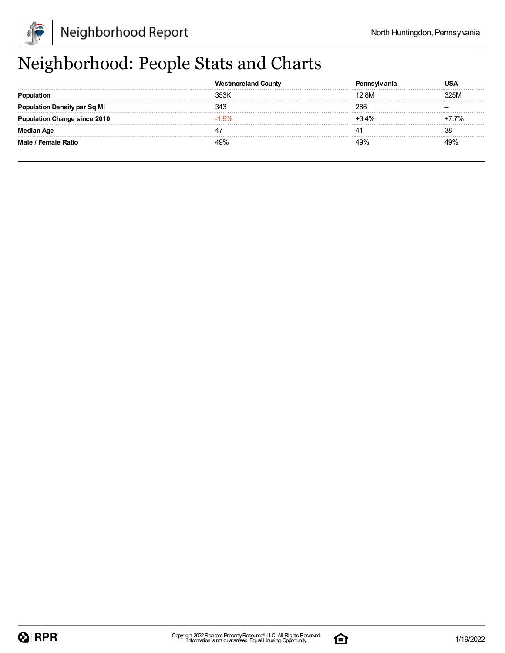

## Neighborhood: People Stats and Charts

|                                | Countv  |         |      |
|--------------------------------|---------|---------|------|
|                                | 353K    | 12.8M   | 325M |
| lation Density per Sq Mi       | 343     | 286     |      |
| <b>ation Change since 2010</b> | $-1.9%$ | $+3.4%$ | 7.7% |
| Median Age                     |         |         | 38   |
| Male / Female Ratio            | 49%     |         |      |

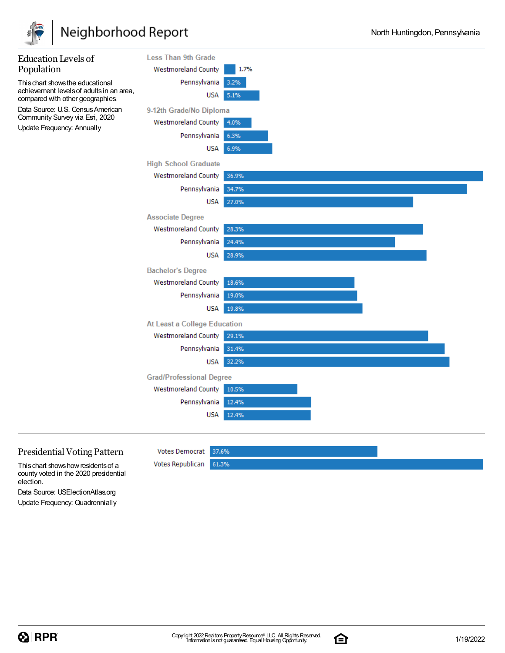

## Neighborhood Report

| <b>Education Levels of</b>                                                                         | <b>Less Than 9th Grade</b>      |       |
|----------------------------------------------------------------------------------------------------|---------------------------------|-------|
| Population                                                                                         | <b>Westmoreland County</b>      | 1.7%  |
| This chart shows the educational                                                                   | Pennsylvania                    | 3.2%  |
| achievement levels of adults in an area,<br>compared with other geographies.                       | <b>USA</b>                      | 5.1%  |
| Data Source: U.S. Census American<br>Community Survey via Esri, 2020<br>Update Frequency: Annually | 9-12th Grade/No Diploma         |       |
|                                                                                                    | <b>Westmoreland County</b>      | 4.0%  |
|                                                                                                    | Pennsylvania                    | 6.3%  |
|                                                                                                    | <b>USA</b>                      | 6.9%  |
|                                                                                                    | <b>High School Graduate</b>     |       |
|                                                                                                    | <b>Westmoreland County</b>      | 36.9% |
|                                                                                                    | Pennsylvania                    | 34.7% |
|                                                                                                    | <b>USA</b>                      | 27.0% |
|                                                                                                    | <b>Associate Degree</b>         |       |
|                                                                                                    | <b>Westmoreland County</b>      | 28.3% |
|                                                                                                    | Pennsylvania                    | 24.4% |
|                                                                                                    | USA                             | 28.9% |
|                                                                                                    | <b>Bachelor's Degree</b>        |       |
|                                                                                                    | <b>Westmoreland County</b>      | 18.6% |
|                                                                                                    | Pennsylvania                    | 19.0% |
|                                                                                                    | <b>USA</b>                      | 19.8% |
|                                                                                                    | At Least a College Education    |       |
|                                                                                                    | <b>Westmoreland County</b>      | 29.1% |
|                                                                                                    | Pennsylvania                    | 31.4% |
|                                                                                                    | <b>USA</b>                      | 32.2% |
|                                                                                                    | <b>Grad/Professional Degree</b> |       |
|                                                                                                    | <b>Westmoreland County</b>      | 10.5% |
|                                                                                                    | Pennsylvania                    | 12.4% |
|                                                                                                    | <b>USA</b>                      | 12.4% |
|                                                                                                    |                                 |       |

### Presidential Voting Pattern

This chart shows how residents of a county voted in the 2020 presidential election.

Data Source: USElectionAtlas.org Update Frequency: Quadrennially **Votes Democrat** 

Votes Republican

37.6%

61.3%

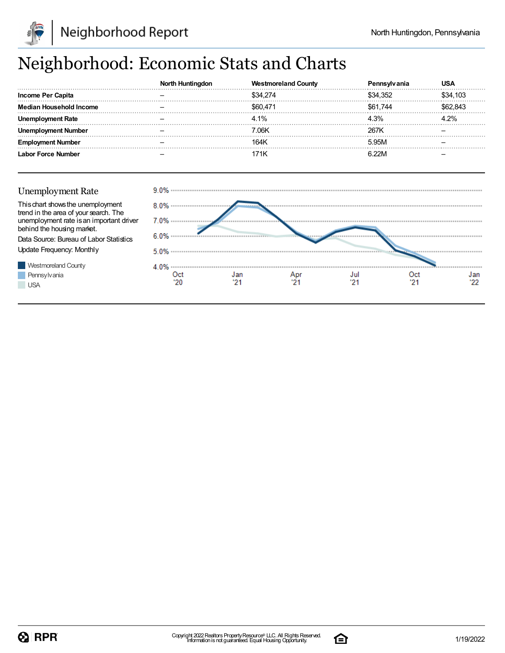

## Neighborhood: Economic Stats and Charts

|                              | NO | <b>Westmoreland County</b> |       | USA      |
|------------------------------|----|----------------------------|-------|----------|
| <b>Income Per Capita</b>     |    | \$34,274                   |       | \$34.103 |
| Median<br>: Household Income |    | \$60.471                   | 744   |          |
| Unen<br>l Rate               |    | 4.1%                       |       |          |
| l Ine<br>Number              |    | 7.06K                      | 267K  |          |
| umber<br>Emr                 |    | 164K                       | 5.95M |          |
| <b>Labor Force Number</b>    |    | 71K                        | 6 22M |          |





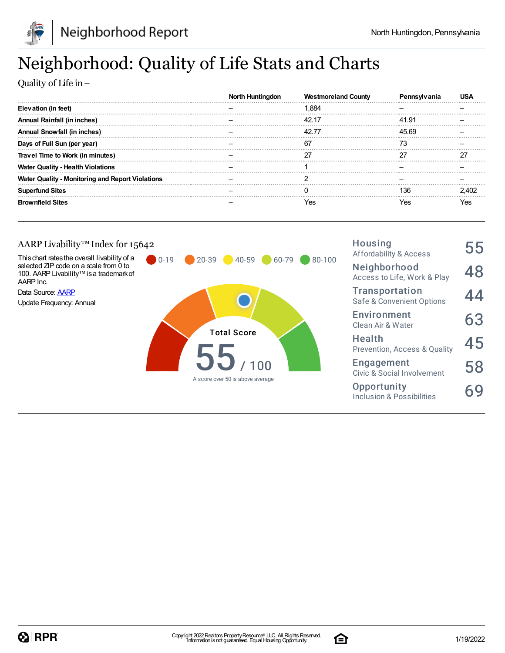

## Neighborhood: Quality of Life Stats and Charts

Quality of Life in–

|                                                         | North Huntinadon | <b>Westmoreland County</b> |       |       |
|---------------------------------------------------------|------------------|----------------------------|-------|-------|
| Elevation (in feet)                                     |                  | .884                       |       |       |
| Annual Rainfall (in inches)                             |                  |                            | 41.91 |       |
| Annual Snowfall (in inches)                             |                  |                            | 45.69 |       |
| Days of Full Sun (per year)                             |                  | 67                         | 73    |       |
| Travel Time to Work (in minutes)                        |                  | ־כ                         |       | דר    |
| <b>Water Quality - Health Violations</b>                |                  |                            |       |       |
| <b>Water Quality - Monitoring and Report Violations</b> |                  |                            |       |       |
| <b>Superfund Sites</b>                                  |                  |                            | 136   | 2 402 |
| <b>Brownfield Sites</b>                                 |                  | res                        | res   | Yes   |